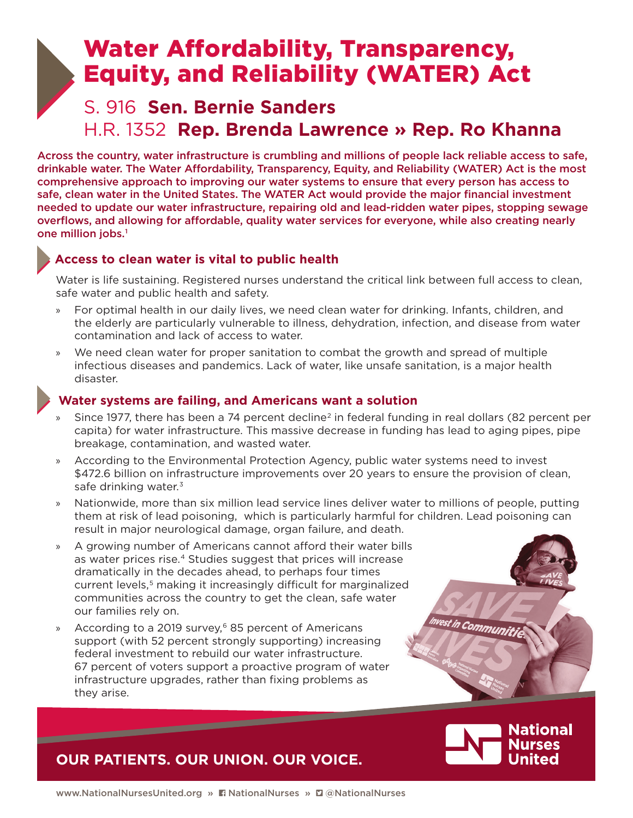# <span id="page-0-0"></span>Water Affordability, Transparency, Equity, and Reliability (WATER) Act

## S. 916 **Sen. Bernie Sanders** H.R. 1352 **Rep. Brenda Lawrence » Rep. Ro Khanna**

Across the country, water infrastructure is crumbling and millions of people lack reliable access to safe, drinkable water. The Water Affordability, Transparency, Equity, and Reliability (WATER) Act is the most comprehensive approach to improving our water systems to ensure that every person has access to safe, clean water in the United States. The WATER Act would provide the major financial investment needed to update our water infrastructure, repairing old and lead-ridden water pipes, stopping sewage overflows, and allowing for affordable, quality water services for everyone, while also creating nearly one million jobs.<sup>1</sup>

#### **Access to clean water is vital to public health**

Water is life sustaining. Registered nurses understand the critical link between full access to clean, safe water and public health and safety.

- » For optimal health in our daily lives, we need clean water for drinking. Infants, children, and the elderly are particularly vulnerable to illness, dehydration, infection, and disease from water contamination and lack of access to water.
- » We need clean water for proper sanitation to combat the growth and spread of multiple infectious diseases and pandemics. Lack of water, like unsafe sanitation, is a major health disaster.

#### **Water systems are failing, and Americans want a solution**

- » Since 1977, there has been a 74 percent decline<sup>2</sup> in federal funding in real dollars (82 percent per capita) for water infrastructure. This massive decrease in funding has lead to aging pipes, pipe breakage, contamination, and wasted water.
- » According to the Environmental Protection Agency, public water systems need to invest \$472.6 billion on infrastructure improvements over 20 years to ensure the provision of clean, safe drinking water.<sup>3</sup>
- » Nationwide, more than six million lead service lines deliver water to millions of people, putting them at risk of lead poisoning, which is particularly harmful for children. Lead poisoning can result in major neurological damage, organ failure, and death.
- » A growing number of Americans cannot afford their water bills as water prices rise[. 4](#page-1-0) Studies suggest that prices will increase dramatically in the decades ahead, to perhaps four times current levels[, 5](#page-1-0) making it increasingly difficult for marginalized communities across the country to get the clean, safe water our families rely on.
- » According to a 2019 survey[, 6](#page-1-0) 85 percent of Americans support (with 52 percent strongly supporting) increasing federal investment to rebuild our water infrastructure. 67 percent of voters support a proactive program of water infrastructure upgrades, rather than fixing problems as they arise.

**OUR PATIENTS. OUR UNION. OUR VOICE.**

\_\_\_\_



nvest in Communit